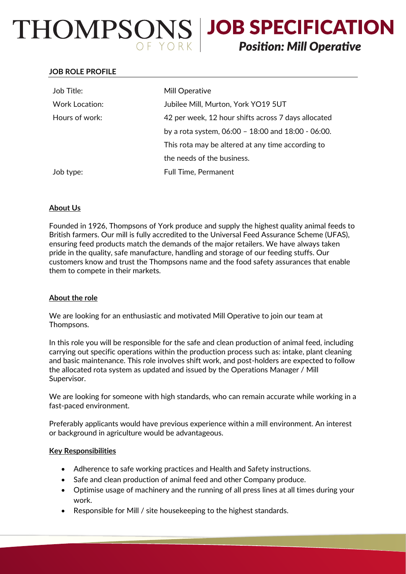# THOMPSONS | JOB SPECIFICATION **Position: Mill Operative**

## **JOB ROLE PROFILE**

| Job Title:     | Mill Operative                                          |
|----------------|---------------------------------------------------------|
| Work Location: | Jubilee Mill, Murton, York YO19 5UT                     |
| Hours of work: | 42 per week, 12 hour shifts across 7 days allocated     |
|                | by a rota system, $06:00 - 18:00$ and $18:00 - 06:00$ . |
|                | This rota may be altered at any time according to       |
|                | the needs of the business.                              |
| Job type:      | <b>Full Time, Permanent</b>                             |

# **About Us**

Founded in 1926, Thompsons of York produce and supply the highest quality animal feeds to British farmers. Our mill is fully accredited to the Universal Feed Assurance Scheme (UFAS), ensuring feed products match the demands of the major retailers. We have always taken pride in the quality, safe manufacture, handling and storage of our feeding stuffs. Our customers know and trust the Thompsons name and the food safety assurances that enable them to compete in their markets.

## **About the role**

We are looking for an enthusiastic and motivated Mill Operative to join our team at Thompsons.

In this role you will be responsible for the safe and clean production of animal feed, including carrying out specific operations within the production process such as: intake, plant cleaning and basic maintenance. This role involves shift work, and post-holders are expected to follow the allocated rota system as updated and issued by the Operations Manager / Mill Supervisor.

We are looking for someone with high standards, who can remain accurate while working in a fast-paced environment.

Preferably applicants would have previous experience within a mill environment. An interest or background in agriculture would be advantageous.

## **Key Responsibilities**

- Adherence to safe working practices and Health and Safety instructions.
- Safe and clean production of animal feed and other Company produce.
- Optimise usage of machinery and the running of all press lines at all times during your work.
- Responsible for Mill / site housekeeping to the highest standards.